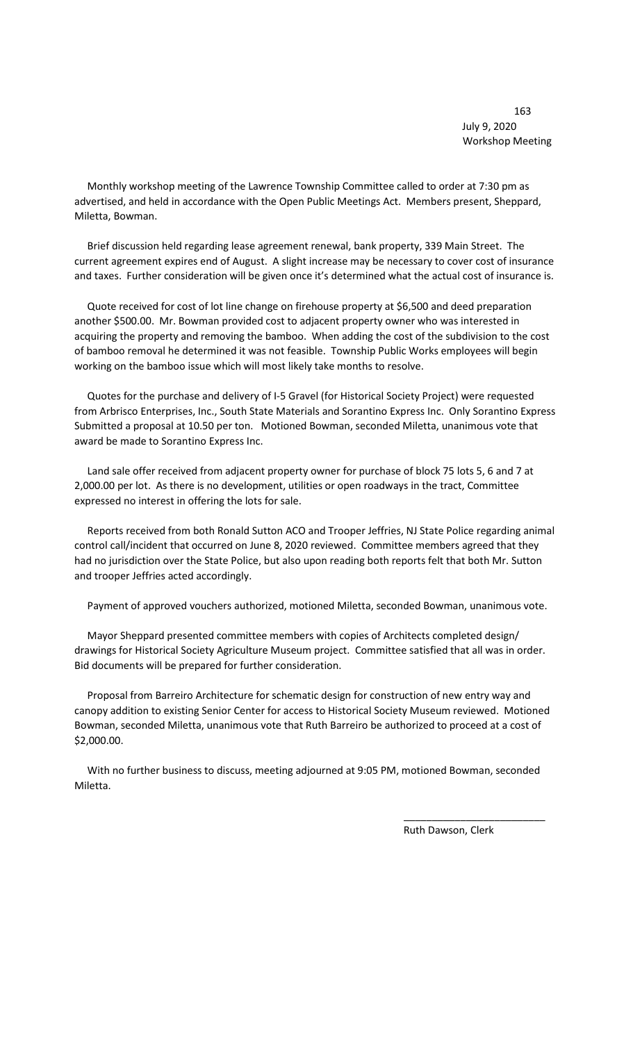163 July 9, 2020 Workshop Meeting

 Monthly workshop meeting of the Lawrence Township Committee called to order at 7:30 pm as advertised, and held in accordance with the Open Public Meetings Act. Members present, Sheppard, Miletta, Bowman.

 Brief discussion held regarding lease agreement renewal, bank property, 339 Main Street. The current agreement expires end of August. A slight increase may be necessary to cover cost of insurance and taxes. Further consideration will be given once it's determined what the actual cost of insurance is.

 Quote received for cost of lot line change on firehouse property at \$6,500 and deed preparation another \$500.00. Mr. Bowman provided cost to adjacent property owner who was interested in acquiring the property and removing the bamboo. When adding the cost of the subdivision to the cost of bamboo removal he determined it was not feasible. Township Public Works employees will begin working on the bamboo issue which will most likely take months to resolve.

 Quotes for the purchase and delivery of I-5 Gravel (for Historical Society Project) were requested from Arbrisco Enterprises, Inc., South State Materials and Sorantino Express Inc. Only Sorantino Express Submitted a proposal at 10.50 per ton. Motioned Bowman, seconded Miletta, unanimous vote that award be made to Sorantino Express Inc.

 Land sale offer received from adjacent property owner for purchase of block 75 lots 5, 6 and 7 at 2,000.00 per lot. As there is no development, utilities or open roadways in the tract, Committee expressed no interest in offering the lots for sale.

 Reports received from both Ronald Sutton ACO and Trooper Jeffries, NJ State Police regarding animal control call/incident that occurred on June 8, 2020 reviewed. Committee members agreed that they had no jurisdiction over the State Police, but also upon reading both reports felt that both Mr. Sutton and trooper Jeffries acted accordingly.

Payment of approved vouchers authorized, motioned Miletta, seconded Bowman, unanimous vote.

 Mayor Sheppard presented committee members with copies of Architects completed design/ drawings for Historical Society Agriculture Museum project. Committee satisfied that all was in order. Bid documents will be prepared for further consideration.

 Proposal from Barreiro Architecture for schematic design for construction of new entry way and canopy addition to existing Senior Center for access to Historical Society Museum reviewed. Motioned Bowman, seconded Miletta, unanimous vote that Ruth Barreiro be authorized to proceed at a cost of \$2,000.00.

 With no further business to discuss, meeting adjourned at 9:05 PM, motioned Bowman, seconded Miletta.

 $\overline{\phantom{a}}$  , and the contract of the contract of the contract of the contract of the contract of the contract of the contract of the contract of the contract of the contract of the contract of the contract of the contrac

Ruth Dawson, Clerk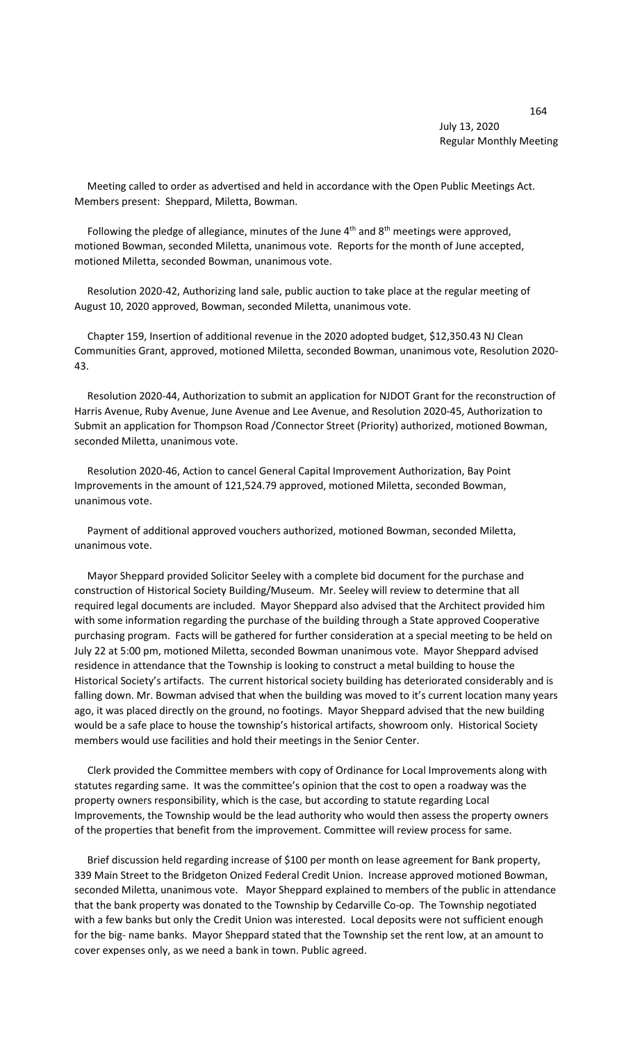## 164 July 13, 2020 Regular Monthly Meeting

 Meeting called to order as advertised and held in accordance with the Open Public Meetings Act. Members present: Sheppard, Miletta, Bowman.

Following the pledge of allegiance, minutes of the June  $4<sup>th</sup>$  and  $8<sup>th</sup>$  meetings were approved, motioned Bowman, seconded Miletta, unanimous vote. Reports for the month of June accepted, motioned Miletta, seconded Bowman, unanimous vote.

 Resolution 2020-42, Authorizing land sale, public auction to take place at the regular meeting of August 10, 2020 approved, Bowman, seconded Miletta, unanimous vote.

 Chapter 159, Insertion of additional revenue in the 2020 adopted budget, \$12,350.43 NJ Clean Communities Grant, approved, motioned Miletta, seconded Bowman, unanimous vote, Resolution 2020- 43.

 Resolution 2020-44, Authorization to submit an application for NJDOT Grant for the reconstruction of Harris Avenue, Ruby Avenue, June Avenue and Lee Avenue, and Resolution 2020-45, Authorization to Submit an application for Thompson Road /Connector Street (Priority) authorized, motioned Bowman, seconded Miletta, unanimous vote.

 Resolution 2020-46, Action to cancel General Capital Improvement Authorization, Bay Point Improvements in the amount of 121,524.79 approved, motioned Miletta, seconded Bowman, unanimous vote.

 Payment of additional approved vouchers authorized, motioned Bowman, seconded Miletta, unanimous vote.

 Mayor Sheppard provided Solicitor Seeley with a complete bid document for the purchase and construction of Historical Society Building/Museum. Mr. Seeley will review to determine that all required legal documents are included. Mayor Sheppard also advised that the Architect provided him with some information regarding the purchase of the building through a State approved Cooperative purchasing program. Facts will be gathered for further consideration at a special meeting to be held on July 22 at 5:00 pm, motioned Miletta, seconded Bowman unanimous vote. Mayor Sheppard advised residence in attendance that the Township is looking to construct a metal building to house the Historical Society's artifacts. The current historical society building has deteriorated considerably and is falling down. Mr. Bowman advised that when the building was moved to it's current location many years ago, it was placed directly on the ground, no footings. Mayor Sheppard advised that the new building would be a safe place to house the township's historical artifacts, showroom only. Historical Society members would use facilities and hold their meetings in the Senior Center.

 Clerk provided the Committee members with copy of Ordinance for Local Improvements along with statutes regarding same. It was the committee's opinion that the cost to open a roadway was the property owners responsibility, which is the case, but according to statute regarding Local Improvements, the Township would be the lead authority who would then assess the property owners of the properties that benefit from the improvement. Committee will review process for same.

 Brief discussion held regarding increase of \$100 per month on lease agreement for Bank property, 339 Main Street to the Bridgeton Onized Federal Credit Union. Increase approved motioned Bowman, seconded Miletta, unanimous vote. Mayor Sheppard explained to members of the public in attendance that the bank property was donated to the Township by Cedarville Co-op. The Township negotiated with a few banks but only the Credit Union was interested. Local deposits were not sufficient enough for the big- name banks. Mayor Sheppard stated that the Township set the rent low, at an amount to cover expenses only, as we need a bank in town. Public agreed.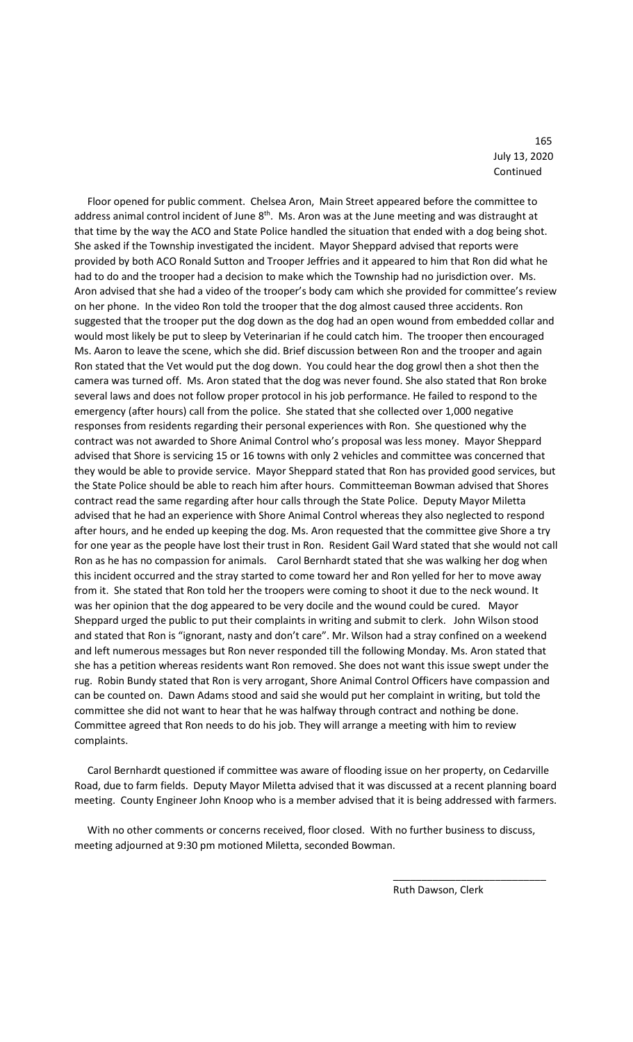165 July 13, 2020 Continued

 Floor opened for public comment. Chelsea Aron, Main Street appeared before the committee to address animal control incident of June 8<sup>th</sup>. Ms. Aron was at the June meeting and was distraught at that time by the way the ACO and State Police handled the situation that ended with a dog being shot. She asked if the Township investigated the incident. Mayor Sheppard advised that reports were provided by both ACO Ronald Sutton and Trooper Jeffries and it appeared to him that Ron did what he had to do and the trooper had a decision to make which the Township had no jurisdiction over. Ms. Aron advised that she had a video of the trooper's body cam which she provided for committee's review on her phone. In the video Ron told the trooper that the dog almost caused three accidents. Ron suggested that the trooper put the dog down as the dog had an open wound from embedded collar and would most likely be put to sleep by Veterinarian if he could catch him. The trooper then encouraged Ms. Aaron to leave the scene, which she did. Brief discussion between Ron and the trooper and again Ron stated that the Vet would put the dog down. You could hear the dog growl then a shot then the camera was turned off. Ms. Aron stated that the dog was never found. She also stated that Ron broke several laws and does not follow proper protocol in his job performance. He failed to respond to the emergency (after hours) call from the police. She stated that she collected over 1,000 negative responses from residents regarding their personal experiences with Ron. She questioned why the contract was not awarded to Shore Animal Control who's proposal was less money. Mayor Sheppard advised that Shore is servicing 15 or 16 towns with only 2 vehicles and committee was concerned that they would be able to provide service. Mayor Sheppard stated that Ron has provided good services, but the State Police should be able to reach him after hours. Committeeman Bowman advised that Shores contract read the same regarding after hour calls through the State Police. Deputy Mayor Miletta advised that he had an experience with Shore Animal Control whereas they also neglected to respond after hours, and he ended up keeping the dog. Ms. Aron requested that the committee give Shore a try for one year as the people have lost their trust in Ron. Resident Gail Ward stated that she would not call Ron as he has no compassion for animals. Carol Bernhardt stated that she was walking her dog when this incident occurred and the stray started to come toward her and Ron yelled for her to move away from it. She stated that Ron told her the troopers were coming to shoot it due to the neck wound. It was her opinion that the dog appeared to be very docile and the wound could be cured. Mayor Sheppard urged the public to put their complaints in writing and submit to clerk. John Wilson stood and stated that Ron is "ignorant, nasty and don't care". Mr. Wilson had a stray confined on a weekend and left numerous messages but Ron never responded till the following Monday. Ms. Aron stated that she has a petition whereas residents want Ron removed. She does not want this issue swept under the rug. Robin Bundy stated that Ron is very arrogant, Shore Animal Control Officers have compassion and can be counted on. Dawn Adams stood and said she would put her complaint in writing, but told the committee she did not want to hear that he was halfway through contract and nothing be done. Committee agreed that Ron needs to do his job. They will arrange a meeting with him to review complaints.

 Carol Bernhardt questioned if committee was aware of flooding issue on her property, on Cedarville Road, due to farm fields. Deputy Mayor Miletta advised that it was discussed at a recent planning board meeting. County Engineer John Knoop who is a member advised that it is being addressed with farmers.

 With no other comments or concerns received, floor closed. With no further business to discuss, meeting adjourned at 9:30 pm motioned Miletta, seconded Bowman.

 $\overline{\phantom{a}}$  , and the contract of the contract of the contract of the contract of the contract of the contract of the contract of the contract of the contract of the contract of the contract of the contract of the contrac

Ruth Dawson, Clerk